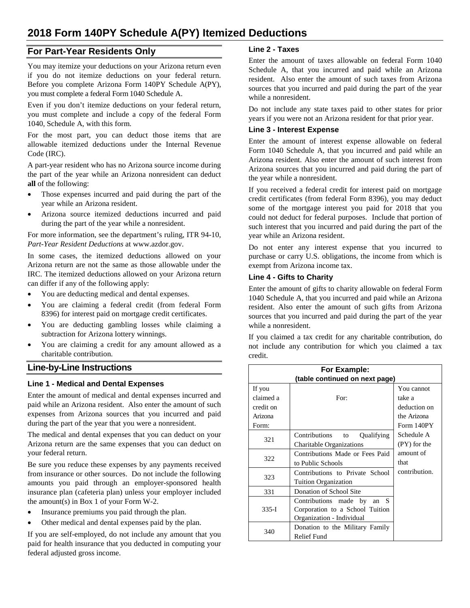# **2018 Form 140PY Schedule A(PY) Itemized Deductions**

# **For Part-Year Residents Only**

You may itemize your deductions on your Arizona return even if you do not itemize deductions on your federal return. Before you complete Arizona Form 140PY Schedule A(PY), you must complete a federal Form 1040 Schedule A.

Even if you don't itemize deductions on your federal return, you must complete and include a copy of the federal Form 1040, Schedule A, with this form.

For the most part, you can deduct those items that are allowable itemized deductions under the Internal Revenue Code (IRC).

A part-year resident who has no Arizona source income during the part of the year while an Arizona nonresident can deduct **all** of the following:

- Those expenses incurred and paid during the part of the year while an Arizona resident.
- Arizona source itemized deductions incurred and paid during the part of the year while a nonresident.

For more information, see the department's ruling, ITR 94-10, *Part-Year Resident Deductions* at www.azdor.gov.

In some cases, the itemized deductions allowed on your Arizona return are not the same as those allowable under the IRC. The itemized deductions allowed on your Arizona return can differ if any of the following apply:

- You are deducting medical and dental expenses.
- You are claiming a federal credit (from federal Form 8396) for interest paid on mortgage credit certificates.
- You are deducting gambling losses while claiming a subtraction for Arizona lottery winnings.
- You are claiming a credit for any amount allowed as a charitable contribution.

# **Line-by-Line Instructions**

#### **Line 1 - Medical and Dental Expenses**

Enter the amount of medical and dental expenses incurred and paid while an Arizona resident. Also enter the amount of such expenses from Arizona sources that you incurred and paid during the part of the year that you were a nonresident.

The medical and dental expenses that you can deduct on your Arizona return are the same expenses that you can deduct on your federal return.

Be sure you reduce these expenses by any payments received from insurance or other sources. Do not include the following amounts you paid through an employer-sponsored health insurance plan (cafeteria plan) unless your employer included the amount(s) in Box 1 of your Form W-2.

- Insurance premiums you paid through the plan.
- Other medical and dental expenses paid by the plan.

If you are self-employed, do not include any amount that you paid for health insurance that you deducted in computing your federal adjusted gross income.

## **Line 2 - Taxes**

Enter the amount of taxes allowable on federal Form 1040 Schedule A, that you incurred and paid while an Arizona resident. Also enter the amount of such taxes from Arizona sources that you incurred and paid during the part of the year while a nonresident.

Do not include any state taxes paid to other states for prior years if you were not an Arizona resident for that prior year.

#### **Line 3 - Interest Expense**

Enter the amount of interest expense allowable on federal Form 1040 Schedule A, that you incurred and paid while an Arizona resident. Also enter the amount of such interest from Arizona sources that you incurred and paid during the part of the year while a nonresident.

If you received a federal credit for interest paid on mortgage credit certificates (from federal Form 8396), you may deduct some of the mortgage interest you paid for 2018 that you could not deduct for federal purposes. Include that portion of such interest that you incurred and paid during the part of the year while an Arizona resident.

Do not enter any interest expense that you incurred to purchase or carry U.S. obligations, the income from which is exempt from Arizona income tax.

#### **Line 4 - Gifts to Charity**

Enter the amount of gifts to charity allowable on federal Form 1040 Schedule A, that you incurred and paid while an Arizona resident. Also enter the amount of such gifts from Arizona sources that you incurred and paid during the part of the year while a nonresident.

If you claimed a tax credit for any charitable contribution, do not include any contribution for which you claimed a tax credit.

| For Example:                   |                                 |               |  |
|--------------------------------|---------------------------------|---------------|--|
| (table continued on next page) |                                 |               |  |
| If you                         |                                 | You cannot    |  |
| claimed a                      | For:                            | take a        |  |
| credit on                      |                                 | deduction on  |  |
| Arizona                        |                                 | the Arizona   |  |
| Form:                          |                                 | Form 140PY    |  |
| 321                            | Contributions to<br>Qualifying  | Schedule A    |  |
|                                | Charitable Organizations        | (PY) for the  |  |
| 322                            | Contributions Made or Fees Paid | amount of     |  |
|                                | to Public Schools               | that          |  |
| 323                            | Contributions to Private School | contribution. |  |
|                                | Tuition Organization            |               |  |
| 331                            | Donation of School Site         |               |  |
| $335-I$                        | Contributions made by<br>an $S$ |               |  |
|                                | Corporation to a School Tuition |               |  |
|                                | Organization - Individual       |               |  |
| 340                            | Donation to the Military Family |               |  |
|                                | <b>Relief Fund</b>              |               |  |